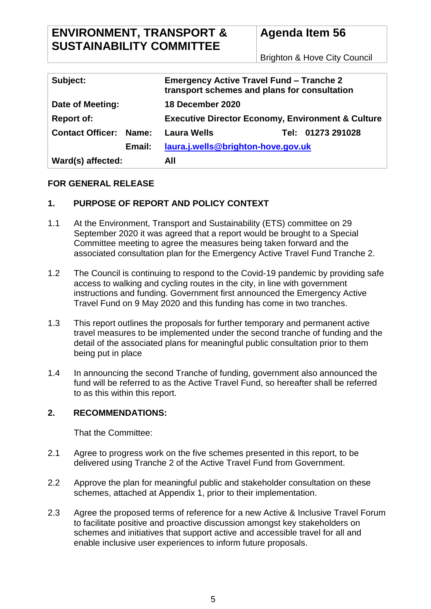# **ENVIRONMENT, TRANSPORT & SUSTAINABILITY COMMITTEE**

# **Agenda Item 56**

Brighton & Hove City Council

| Subject:                         | <b>Emergency Active Travel Fund - Tranche 2</b><br>transport schemes and plans for consultation |  |
|----------------------------------|-------------------------------------------------------------------------------------------------|--|
| Date of Meeting:                 | 18 December 2020                                                                                |  |
| <b>Report of:</b>                | <b>Executive Director Economy, Environment &amp; Culture</b>                                    |  |
| <b>Contact Officer:</b><br>Name: | <b>Laura Wells</b><br>Tel: 01273 291028                                                         |  |
| Email:                           | laura.j.wells@brighton-hove.gov.uk                                                              |  |
| Ward(s) affected:                | All                                                                                             |  |

### **FOR GENERAL RELEASE**

### **1. PURPOSE OF REPORT AND POLICY CONTEXT**

- 1.1 At the Environment, Transport and Sustainability (ETS) committee on 29 September 2020 it was agreed that a report would be brought to a Special Committee meeting to agree the measures being taken forward and the associated consultation plan for the Emergency Active Travel Fund Tranche 2.
- 1.2 The Council is continuing to respond to the Covid-19 pandemic by providing safe access to walking and cycling routes in the city, in line with government instructions and funding. Government first announced the Emergency Active Travel Fund on 9 May 2020 and this funding has come in two tranches.
- 1.3 This report outlines the proposals for further temporary and permanent active travel measures to be implemented under the second tranche of funding and the detail of the associated plans for meaningful public consultation prior to them being put in place
- 1.4 In announcing the second Tranche of funding, government also announced the fund will be referred to as the Active Travel Fund, so hereafter shall be referred to as this within this report.

### **2. RECOMMENDATIONS:**

That the Committee:

- 2.1 Agree to progress work on the five schemes presented in this report, to be delivered using Tranche 2 of the Active Travel Fund from Government.
- 2.2 Approve the plan for meaningful public and stakeholder consultation on these schemes, attached at Appendix 1, prior to their implementation.
- 2.3 Agree the proposed terms of reference for a new Active & Inclusive Travel Forum to facilitate positive and proactive discussion amongst key stakeholders on schemes and initiatives that support active and accessible travel for all and enable inclusive user experiences to inform future proposals.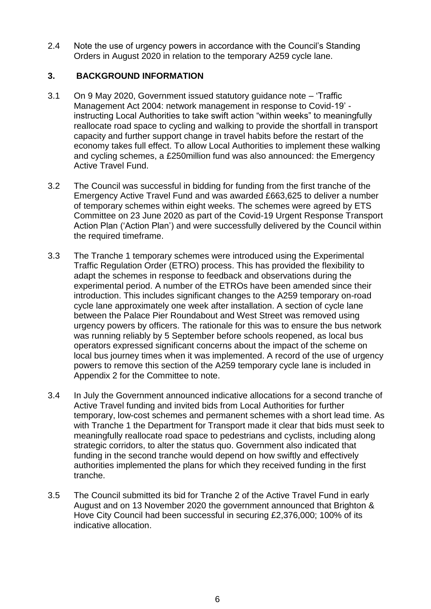2.4 Note the use of urgency powers in accordance with the Council's Standing Orders in August 2020 in relation to the temporary A259 cycle lane.

### **3. BACKGROUND INFORMATION**

- 3.1 On 9 May 2020, Government issued statutory guidance note 'Traffic Management Act 2004: network management in response to Covid-19' instructing Local Authorities to take swift action "within weeks" to meaningfully reallocate road space to cycling and walking to provide the shortfall in transport capacity and further support change in travel habits before the restart of the economy takes full effect. To allow Local Authorities to implement these walking and cycling schemes, a £250million fund was also announced: the Emergency Active Travel Fund.
- 3.2 The Council was successful in bidding for funding from the first tranche of the Emergency Active Travel Fund and was awarded £663,625 to deliver a number of temporary schemes within eight weeks. The schemes were agreed by ETS Committee on 23 June 2020 as part of the Covid-19 Urgent Response Transport Action Plan ('Action Plan') and were successfully delivered by the Council within the required timeframe.
- 3.3 The Tranche 1 temporary schemes were introduced using the Experimental Traffic Regulation Order (ETRO) process. This has provided the flexibility to adapt the schemes in response to feedback and observations during the experimental period. A number of the ETROs have been amended since their introduction. This includes significant changes to the A259 temporary on-road cycle lane approximately one week after installation. A section of cycle lane between the Palace Pier Roundabout and West Street was removed using urgency powers by officers. The rationale for this was to ensure the bus network was running reliably by 5 September before schools reopened, as local bus operators expressed significant concerns about the impact of the scheme on local bus journey times when it was implemented. A record of the use of urgency powers to remove this section of the A259 temporary cycle lane is included in Appendix 2 for the Committee to note.
- 3.4 In July the Government announced indicative allocations for a second tranche of Active Travel funding and invited bids from Local Authorities for further temporary, low-cost schemes and permanent schemes with a short lead time. As with Tranche 1 the Department for Transport made it clear that bids must seek to meaningfully reallocate road space to pedestrians and cyclists, including along strategic corridors, to alter the status quo. Government also indicated that funding in the second tranche would depend on how swiftly and effectively authorities implemented the plans for which they received funding in the first tranche.
- 3.5 The Council submitted its bid for Tranche 2 of the Active Travel Fund in early August and on 13 November 2020 the government announced that Brighton & Hove City Council had been successful in securing £2,376,000; 100% of its indicative allocation.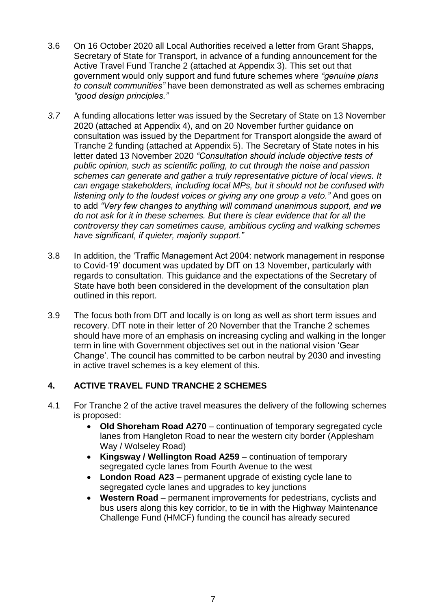- 3.6 On 16 October 2020 all Local Authorities received a letter from Grant Shapps, Secretary of State for Transport, in advance of a funding announcement for the Active Travel Fund Tranche 2 (attached at Appendix 3). This set out that government would only support and fund future schemes where *"genuine plans to consult communities"* have been demonstrated as well as schemes embracing *"good design principles."*
- *3.7* A funding allocations letter was issued by the Secretary of State on 13 November 2020 (attached at Appendix 4), and on 20 November further guidance on consultation was issued by the Department for Transport alongside the award of Tranche 2 funding (attached at Appendix 5). The Secretary of State notes in his letter dated 13 November 2020 *"Consultation should include objective tests of public opinion, such as scientific polling, to cut through the noise and passion schemes can generate and gather a truly representative picture of local views. It can engage stakeholders, including local MPs, but it should not be confused with listening only to the loudest voices or giving any one group a veto."* And goes on to add *"Very few changes to anything will command unanimous support, and we do not ask for it in these schemes. But there is clear evidence that for all the controversy they can sometimes cause, ambitious cycling and walking schemes have significant, if quieter, majority support."*
- 3.8 In addition, the 'Traffic Management Act 2004: network management in response to Covid-19' document was updated by DfT on 13 November, particularly with regards to consultation. This guidance and the expectations of the Secretary of State have both been considered in the development of the consultation plan outlined in this report.
- 3.9 The focus both from DfT and locally is on long as well as short term issues and recovery. DfT note in their letter of 20 November that the Tranche 2 schemes should have more of an emphasis on increasing cycling and walking in the longer term in line with Government objectives set out in the national vision 'Gear Change'. The council has committed to be carbon neutral by 2030 and investing in active travel schemes is a key element of this.

### **4. ACTIVE TRAVEL FUND TRANCHE 2 SCHEMES**

- 4.1 For Tranche 2 of the active travel measures the delivery of the following schemes is proposed:
	- **Old Shoreham Road A270** continuation of temporary segregated cycle lanes from Hangleton Road to near the western city border (Applesham Way / Wolseley Road)
	- **Kingsway / Wellington Road A259** continuation of temporary segregated cycle lanes from Fourth Avenue to the west
	- London Road A23 permanent upgrade of existing cycle lane to segregated cycle lanes and upgrades to key junctions
	- **Western Road**  permanent improvements for pedestrians, cyclists and bus users along this key corridor, to tie in with the Highway Maintenance Challenge Fund (HMCF) funding the council has already secured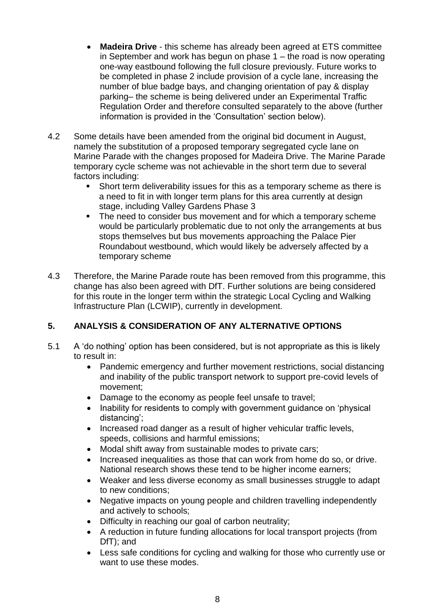- **Madeira Drive**  this scheme has already been agreed at ETS committee in September and work has begun on phase 1 – the road is now operating one-way eastbound following the full closure previously. Future works to be completed in phase 2 include provision of a cycle lane, increasing the number of blue badge bays, and changing orientation of pay & display parking– the scheme is being delivered under an Experimental Traffic Regulation Order and therefore consulted separately to the above (further information is provided in the 'Consultation' section below).
- 4.2 Some details have been amended from the original bid document in August, namely the substitution of a proposed temporary segregated cycle lane on Marine Parade with the changes proposed for Madeira Drive. The Marine Parade temporary cycle scheme was not achievable in the short term due to several factors including:
	- Short term deliverability issues for this as a temporary scheme as there is a need to fit in with longer term plans for this area currently at design stage, including Valley Gardens Phase 3
	- The need to consider bus movement and for which a temporary scheme would be particularly problematic due to not only the arrangements at bus stops themselves but bus movements approaching the Palace Pier Roundabout westbound, which would likely be adversely affected by a temporary scheme
- 4.3 Therefore, the Marine Parade route has been removed from this programme, this change has also been agreed with DfT. Further solutions are being considered for this route in the longer term within the strategic Local Cycling and Walking Infrastructure Plan (LCWIP), currently in development.

# **5. ANALYSIS & CONSIDERATION OF ANY ALTERNATIVE OPTIONS**

- 5.1 A 'do nothing' option has been considered, but is not appropriate as this is likely to result in:
	- Pandemic emergency and further movement restrictions, social distancing and inability of the public transport network to support pre-covid levels of movement;
	- Damage to the economy as people feel unsafe to travel;
	- Inability for residents to comply with government quidance on 'physical distancing';
	- Increased road danger as a result of higher vehicular traffic levels, speeds, collisions and harmful emissions;
	- Modal shift away from sustainable modes to private cars;
	- Increased inequalities as those that can work from home do so, or drive. National research shows these tend to be higher income earners;
	- Weaker and less diverse economy as small businesses struggle to adapt to new conditions;
	- Negative impacts on young people and children travelling independently and actively to schools;
	- Difficulty in reaching our goal of carbon neutrality;
	- A reduction in future funding allocations for local transport projects (from DfT); and
	- Less safe conditions for cycling and walking for those who currently use or want to use these modes.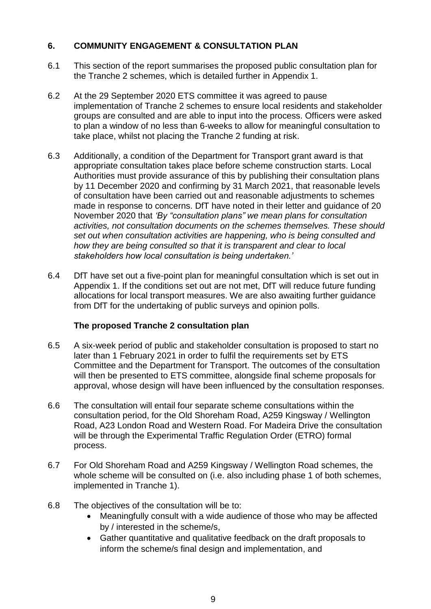## **6. COMMUNITY ENGAGEMENT & CONSULTATION PLAN**

- 6.1 This section of the report summarises the proposed public consultation plan for the Tranche 2 schemes, which is detailed further in Appendix 1.
- 6.2 At the 29 September 2020 ETS committee it was agreed to pause implementation of Tranche 2 schemes to ensure local residents and stakeholder groups are consulted and are able to input into the process. Officers were asked to plan a window of no less than 6-weeks to allow for meaningful consultation to take place, whilst not placing the Tranche 2 funding at risk.
- 6.3 Additionally, a condition of the Department for Transport grant award is that appropriate consultation takes place before scheme construction starts. Local Authorities must provide assurance of this by publishing their consultation plans by 11 December 2020 and confirming by 31 March 2021, that reasonable levels of consultation have been carried out and reasonable adjustments to schemes made in response to concerns. DfT have noted in their letter and guidance of 20 November 2020 that *'By "consultation plans" we mean plans for consultation activities, not consultation documents on the schemes themselves. These should set out when consultation activities are happening, who is being consulted and how they are being consulted so that it is transparent and clear to local stakeholders how local consultation is being undertaken.'*
- 6.4 DfT have set out a five-point plan for meaningful consultation which is set out in Appendix 1. If the conditions set out are not met, DfT will reduce future funding allocations for local transport measures. We are also awaiting further guidance from DfT for the undertaking of public surveys and opinion polls.

# **The proposed Tranche 2 consultation plan**

- 6.5 A six-week period of public and stakeholder consultation is proposed to start no later than 1 February 2021 in order to fulfil the requirements set by ETS Committee and the Department for Transport. The outcomes of the consultation will then be presented to ETS committee, alongside final scheme proposals for approval, whose design will have been influenced by the consultation responses.
- 6.6 The consultation will entail four separate scheme consultations within the consultation period, for the Old Shoreham Road, A259 Kingsway / Wellington Road, A23 London Road and Western Road. For Madeira Drive the consultation will be through the Experimental Traffic Regulation Order (ETRO) formal process.
- 6.7 For Old Shoreham Road and A259 Kingsway / Wellington Road schemes, the whole scheme will be consulted on (i.e. also including phase 1 of both schemes, implemented in Tranche 1).
- 6.8 The objectives of the consultation will be to:
	- Meaningfully consult with a wide audience of those who may be affected by / interested in the scheme/s,
	- Gather quantitative and qualitative feedback on the draft proposals to inform the scheme/s final design and implementation, and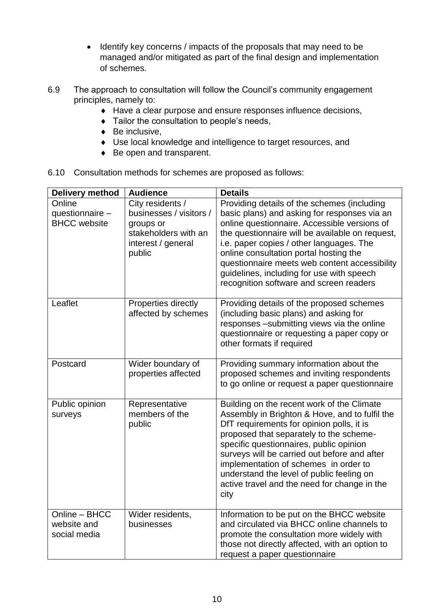- Identify key concerns / impacts of the proposals that may need to be managed and/or mitigated as part of the final design and implementation of schemes.
- 6.9 The approach to consultation will follow the Council's community engagement principles, namely to:
	- Have a clear purpose and ensure responses influence decisions,
	- $\bullet$  Tailor the consultation to people's needs,
	- $\bullet$  Be inclusive.
	- Use local knowledge and intelligence to target resources, and
	- ◆ Be open and transparent.
- 6.10 Consultation methods for schemes are proposed as follows:

| <b>Delivery method</b>                           | <b>Audience</b>                                                                                                  | <b>Details</b>                                                                                                                                                                                                                                                                                                                                                                                                                |
|--------------------------------------------------|------------------------------------------------------------------------------------------------------------------|-------------------------------------------------------------------------------------------------------------------------------------------------------------------------------------------------------------------------------------------------------------------------------------------------------------------------------------------------------------------------------------------------------------------------------|
| Online<br>questionnaire -<br><b>BHCC</b> website | City residents /<br>businesses / visitors /<br>groups or<br>stakeholders with an<br>interest / general<br>public | Providing details of the schemes (including<br>basic plans) and asking for responses via an<br>online questionnaire. Accessible versions of<br>the questionnaire will be available on request,<br>i.e. paper copies / other languages. The<br>online consultation portal hosting the<br>questionnaire meets web content accessibility<br>guidelines, including for use with speech<br>recognition software and screen readers |
| Leaflet                                          | Properties directly<br>affected by schemes                                                                       | Providing details of the proposed schemes<br>(including basic plans) and asking for<br>responses -submitting views via the online<br>questionnaire or requesting a paper copy or<br>other formats if required                                                                                                                                                                                                                 |
| Postcard                                         | Wider boundary of<br>properties affected                                                                         | Providing summary information about the<br>proposed schemes and inviting respondents<br>to go online or request a paper questionnaire                                                                                                                                                                                                                                                                                         |
| Public opinion<br>surveys                        | Representative<br>members of the<br>public                                                                       | Building on the recent work of the Climate<br>Assembly in Brighton & Hove, and to fulfil the<br>DfT requirements for opinion polls, it is<br>proposed that separately to the scheme-<br>specific questionnaires, public opinion<br>surveys will be carried out before and after<br>implementation of schemes in order to<br>understand the level of public feeling on<br>active travel and the need for change in the<br>city |
| Online - BHCC<br>website and<br>social media     | Wider residents,<br>businesses                                                                                   | Information to be put on the BHCC website<br>and circulated via BHCC online channels to<br>promote the consultation more widely with<br>those not directly affected, with an option to<br>request a paper questionnaire                                                                                                                                                                                                       |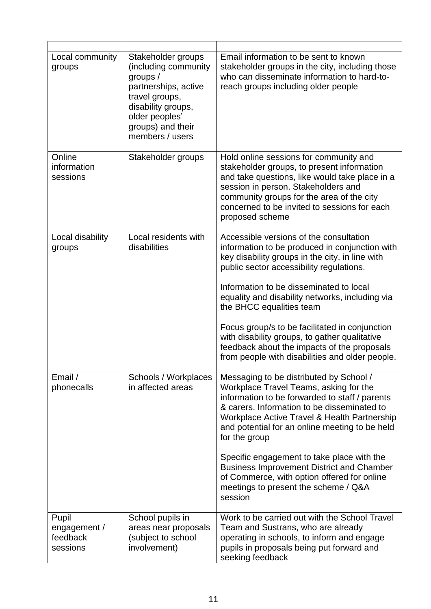| Local community<br>groups                     | Stakeholder groups<br>(including community)<br>groups $/$<br>partnerships, active<br>travel groups,<br>disability groups, | Email information to be sent to known<br>stakeholder groups in the city, including those<br>who can disseminate information to hard-to-<br>reach groups including older people                                                                                                                        |
|-----------------------------------------------|---------------------------------------------------------------------------------------------------------------------------|-------------------------------------------------------------------------------------------------------------------------------------------------------------------------------------------------------------------------------------------------------------------------------------------------------|
|                                               | older peoples'<br>groups) and their<br>members / users                                                                    |                                                                                                                                                                                                                                                                                                       |
| Online<br>information<br>sessions             | Stakeholder groups                                                                                                        | Hold online sessions for community and<br>stakeholder groups, to present information<br>and take questions, like would take place in a<br>session in person. Stakeholders and<br>community groups for the area of the city<br>concerned to be invited to sessions for each<br>proposed scheme         |
| Local disability<br>groups                    | Local residents with<br>disabilities                                                                                      | Accessible versions of the consultation<br>information to be produced in conjunction with<br>key disability groups in the city, in line with<br>public sector accessibility regulations.                                                                                                              |
|                                               |                                                                                                                           | Information to be disseminated to local<br>equality and disability networks, including via<br>the BHCC equalities team                                                                                                                                                                                |
|                                               |                                                                                                                           | Focus group/s to be facilitated in conjunction<br>with disability groups, to gather qualitative<br>feedback about the impacts of the proposals<br>from people with disabilities and older people.                                                                                                     |
| Email /<br>phonecalls                         | Schools / Workplaces<br>in affected areas                                                                                 | Messaging to be distributed by School /<br>Workplace Travel Teams, asking for the<br>information to be forwarded to staff / parents<br>& carers. Information to be disseminated to<br>Workplace Active Travel & Health Partnership<br>and potential for an online meeting to be held<br>for the group |
|                                               |                                                                                                                           | Specific engagement to take place with the<br><b>Business Improvement District and Chamber</b><br>of Commerce, with option offered for online<br>meetings to present the scheme / Q&A<br>session                                                                                                      |
| Pupil<br>engagement /<br>feedback<br>sessions | School pupils in<br>areas near proposals<br>(subject to school<br>involvement)                                            | Work to be carried out with the School Travel<br>Team and Sustrans, who are already<br>operating in schools, to inform and engage<br>pupils in proposals being put forward and<br>seeking feedback                                                                                                    |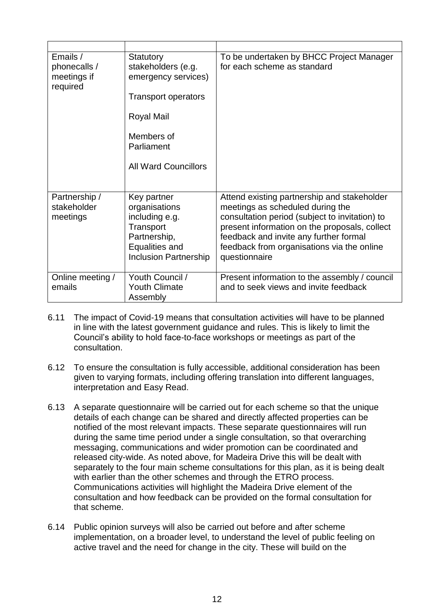| Emails /<br>phonecalls /<br>meetings if<br>required | Statutory<br>stakeholders (e.g.<br>emergency services)<br><b>Transport operators</b><br>Royal Mail<br>Members of<br>Parliament<br><b>All Ward Councillors</b> | To be undertaken by BHCC Project Manager<br>for each scheme as standard                                                                                                                                                                                                                     |
|-----------------------------------------------------|---------------------------------------------------------------------------------------------------------------------------------------------------------------|---------------------------------------------------------------------------------------------------------------------------------------------------------------------------------------------------------------------------------------------------------------------------------------------|
| Partnership /<br>stakeholder<br>meetings            | Key partner<br>organisations<br>including e.g.<br>Transport<br>Partnership,<br>Equalities and<br><b>Inclusion Partnership</b>                                 | Attend existing partnership and stakeholder<br>meetings as scheduled during the<br>consultation period (subject to invitation) to<br>present information on the proposals, collect<br>feedback and invite any further formal<br>feedback from organisations via the online<br>questionnaire |
| Online meeting /<br>emails                          | Youth Council /<br><b>Youth Climate</b><br>Assembly                                                                                                           | Present information to the assembly / council<br>and to seek views and invite feedback                                                                                                                                                                                                      |

- 6.11 The impact of Covid-19 means that consultation activities will have to be planned in line with the latest government guidance and rules. This is likely to limit the Council's ability to hold face-to-face workshops or meetings as part of the consultation.
- 6.12 To ensure the consultation is fully accessible, additional consideration has been given to varying formats, including offering translation into different languages, interpretation and Easy Read.
- 6.13 A separate questionnaire will be carried out for each scheme so that the unique details of each change can be shared and directly affected properties can be notified of the most relevant impacts. These separate questionnaires will run during the same time period under a single consultation, so that overarching messaging, communications and wider promotion can be coordinated and released city-wide. As noted above, for Madeira Drive this will be dealt with separately to the four main scheme consultations for this plan, as it is being dealt with earlier than the other schemes and through the ETRO process. Communications activities will highlight the Madeira Drive element of the consultation and how feedback can be provided on the formal consultation for that scheme.
- 6.14 Public opinion surveys will also be carried out before and after scheme implementation, on a broader level, to understand the level of public feeling on active travel and the need for change in the city. These will build on the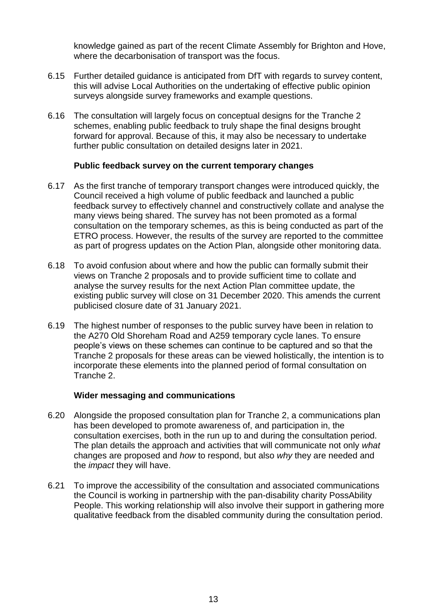knowledge gained as part of the recent Climate Assembly for Brighton and Hove, where the decarbonisation of transport was the focus.

- 6.15 Further detailed guidance is anticipated from DfT with regards to survey content, this will advise Local Authorities on the undertaking of effective public opinion surveys alongside survey frameworks and example questions.
- 6.16 The consultation will largely focus on conceptual designs for the Tranche 2 schemes, enabling public feedback to truly shape the final designs brought forward for approval. Because of this, it may also be necessary to undertake further public consultation on detailed designs later in 2021.

#### **Public feedback survey on the current temporary changes**

- 6.17 As the first tranche of temporary transport changes were introduced quickly, the Council received a high volume of public feedback and launched a public feedback survey to effectively channel and constructively collate and analyse the many views being shared. The survey has not been promoted as a formal consultation on the temporary schemes, as this is being conducted as part of the ETRO process. However, the results of the survey are reported to the committee as part of progress updates on the Action Plan, alongside other monitoring data.
- 6.18 To avoid confusion about where and how the public can formally submit their views on Tranche 2 proposals and to provide sufficient time to collate and analyse the survey results for the next Action Plan committee update, the existing public survey will close on 31 December 2020. This amends the current publicised closure date of 31 January 2021.
- 6.19 The highest number of responses to the public survey have been in relation to the A270 Old Shoreham Road and A259 temporary cycle lanes. To ensure people's views on these schemes can continue to be captured and so that the Tranche 2 proposals for these areas can be viewed holistically, the intention is to incorporate these elements into the planned period of formal consultation on Tranche 2.

### **Wider messaging and communications**

- 6.20 Alongside the proposed consultation plan for Tranche 2, a communications plan has been developed to promote awareness of, and participation in, the consultation exercises, both in the run up to and during the consultation period. The plan details the approach and activities that will communicate not only *what* changes are proposed and *how* to respond, but also *why* they are needed and the *impact* they will have.
- 6.21 To improve the accessibility of the consultation and associated communications the Council is working in partnership with the pan-disability charity PossAbility People. This working relationship will also involve their support in gathering more qualitative feedback from the disabled community during the consultation period.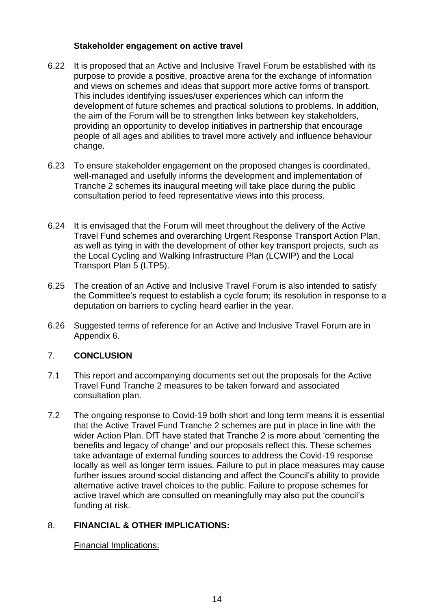#### **Stakeholder engagement on active travel**

- 6.22 It is proposed that an Active and Inclusive Travel Forum be established with its purpose to provide a positive, proactive arena for the exchange of information and views on schemes and ideas that support more active forms of transport. This includes identifying issues/user experiences which can inform the development of future schemes and practical solutions to problems. In addition, the aim of the Forum will be to strengthen links between key stakeholders, providing an opportunity to develop initiatives in partnership that encourage people of all ages and abilities to travel more actively and influence behaviour change.
- 6.23 To ensure stakeholder engagement on the proposed changes is coordinated, well-managed and usefully informs the development and implementation of Tranche 2 schemes its inaugural meeting will take place during the public consultation period to feed representative views into this process.
- 6.24 It is envisaged that the Forum will meet throughout the delivery of the Active Travel Fund schemes and overarching Urgent Response Transport Action Plan, as well as tying in with the development of other key transport projects, such as the Local Cycling and Walking Infrastructure Plan (LCWIP) and the Local Transport Plan 5 (LTP5).
- 6.25 The creation of an Active and Inclusive Travel Forum is also intended to satisfy the Committee's request to establish a cycle forum; its resolution in response to a deputation on barriers to cycling heard earlier in the year.
- 6.26 Suggested terms of reference for an Active and Inclusive Travel Forum are in Appendix 6.

### 7. **CONCLUSION**

- 7.1 This report and accompanying documents set out the proposals for the Active Travel Fund Tranche 2 measures to be taken forward and associated consultation plan.
- 7.2 The ongoing response to Covid-19 both short and long term means it is essential that the Active Travel Fund Tranche 2 schemes are put in place in line with the wider Action Plan. DfT have stated that Tranche 2 is more about 'cementing the benefits and legacy of change' and our proposals reflect this. These schemes take advantage of external funding sources to address the Covid-19 response locally as well as longer term issues. Failure to put in place measures may cause further issues around social distancing and affect the Council's ability to provide alternative active travel choices to the public. Failure to propose schemes for active travel which are consulted on meaningfully may also put the council's funding at risk.

### 8. **FINANCIAL & OTHER IMPLICATIONS:**

Financial Implications: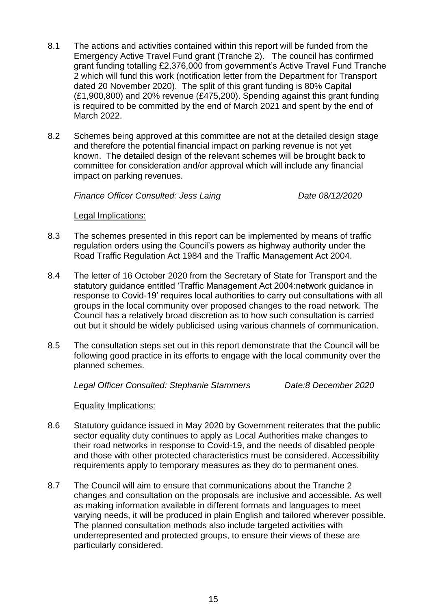- 8.1 The actions and activities contained within this report will be funded from the Emergency Active Travel Fund grant (Tranche 2). The council has confirmed grant funding totalling £2,376,000 from government's Active Travel Fund Tranche 2 which will fund this work (notification letter from the Department for Transport dated 20 November 2020). The split of this grant funding is 80% Capital (£1,900,800) and 20% revenue (£475,200). Spending against this grant funding is required to be committed by the end of March 2021 and spent by the end of March 2022.
- 8.2 Schemes being approved at this committee are not at the detailed design stage and therefore the potential financial impact on parking revenue is not yet known. The detailed design of the relevant schemes will be brought back to committee for consideration and/or approval which will include any financial impact on parking revenues.

*Finance Officer Consulted: Jess Laing* Date 08/12/2020

Legal Implications:

- 8.3 The schemes presented in this report can be implemented by means of traffic regulation orders using the Council's powers as highway authority under the Road Traffic Regulation Act 1984 and the Traffic Management Act 2004.
- 8.4 The letter of 16 October 2020 from the Secretary of State for Transport and the statutory guidance entitled 'Traffic Management Act 2004:network guidance in response to Covid-19' requires local authorities to carry out consultations with all groups in the local community over proposed changes to the road network. The Council has a relatively broad discretion as to how such consultation is carried out but it should be widely publicised using various channels of communication.
- 8.5 The consultation steps set out in this report demonstrate that the Council will be following good practice in its efforts to engage with the local community over the planned schemes.

*Legal Officer Consulted: Stephanie Stammers Date:8 December 2020*

Equality Implications:

- 8.6 Statutory guidance issued in May 2020 by Government reiterates that the public sector equality duty continues to apply as Local Authorities make changes to their road networks in response to Covid-19, and the needs of disabled people and those with other protected characteristics must be considered. Accessibility requirements apply to temporary measures as they do to permanent ones.
- 8.7 The Council will aim to ensure that communications about the Tranche 2 changes and consultation on the proposals are inclusive and accessible. As well as making information available in different formats and languages to meet varying needs, it will be produced in plain English and tailored wherever possible. The planned consultation methods also include targeted activities with underrepresented and protected groups, to ensure their views of these are particularly considered.